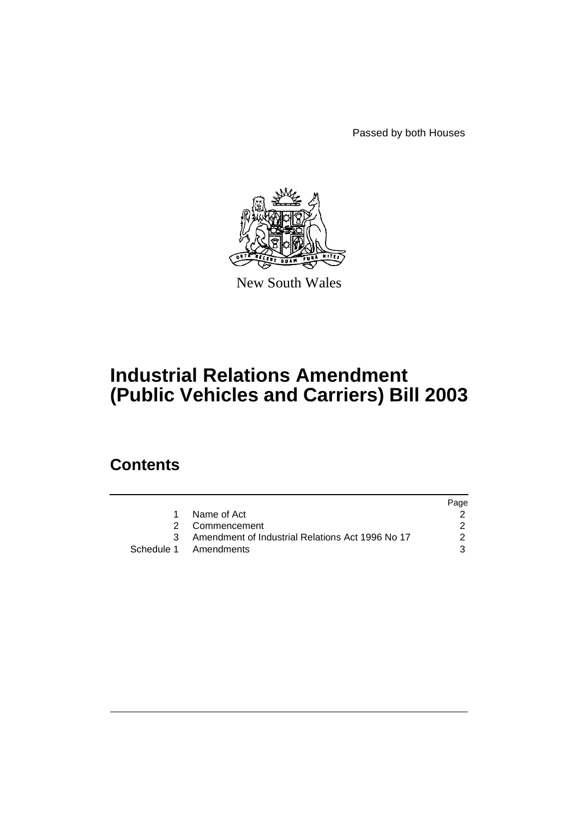Passed by both Houses



New South Wales

# **Industrial Relations Amendment (Public Vehicles and Carriers) Bill 2003**

### **Contents**

|                                                  | Page          |
|--------------------------------------------------|---------------|
| 1 Name of Act                                    |               |
| 2 Commencement                                   |               |
| Amendment of Industrial Relations Act 1996 No 17 | $\mathcal{P}$ |
| Schedule 1 Amendments                            | 3             |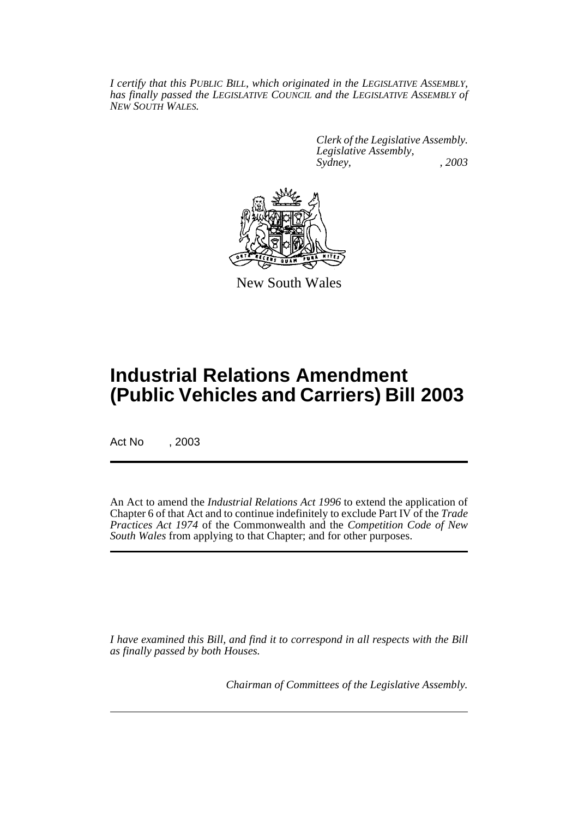*I certify that this PUBLIC BILL, which originated in the LEGISLATIVE ASSEMBLY, has finally passed the LEGISLATIVE COUNCIL and the LEGISLATIVE ASSEMBLY of NEW SOUTH WALES.*

> *Clerk of the Legislative Assembly. Legislative Assembly, Sydney, , 2003*



New South Wales

## **Industrial Relations Amendment (Public Vehicles and Carriers) Bill 2003**

Act No , 2003

An Act to amend the *Industrial Relations Act 1996* to extend the application of Chapter 6 of that Act and to continue indefinitely to exclude Part IV of the *Trade Practices Act 1974* of the Commonwealth and the *Competition Code of New South Wales* from applying to that Chapter; and for other purposes.

*I have examined this Bill, and find it to correspond in all respects with the Bill as finally passed by both Houses.*

*Chairman of Committees of the Legislative Assembly.*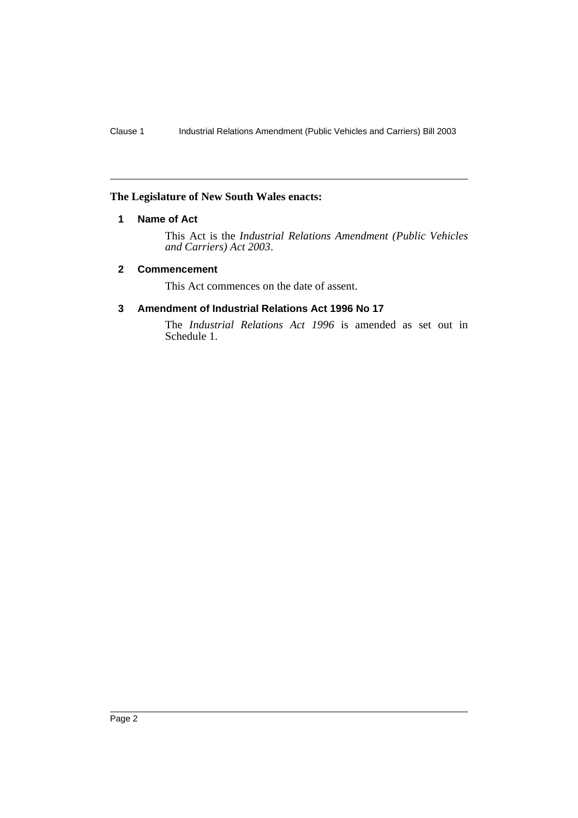#### **The Legislature of New South Wales enacts:**

#### **1 Name of Act**

This Act is the *Industrial Relations Amendment (Public Vehicles and Carriers) Act 2003*.

#### **2 Commencement**

This Act commences on the date of assent.

#### **3 Amendment of Industrial Relations Act 1996 No 17**

The *Industrial Relations Act 1996* is amended as set out in Schedule 1.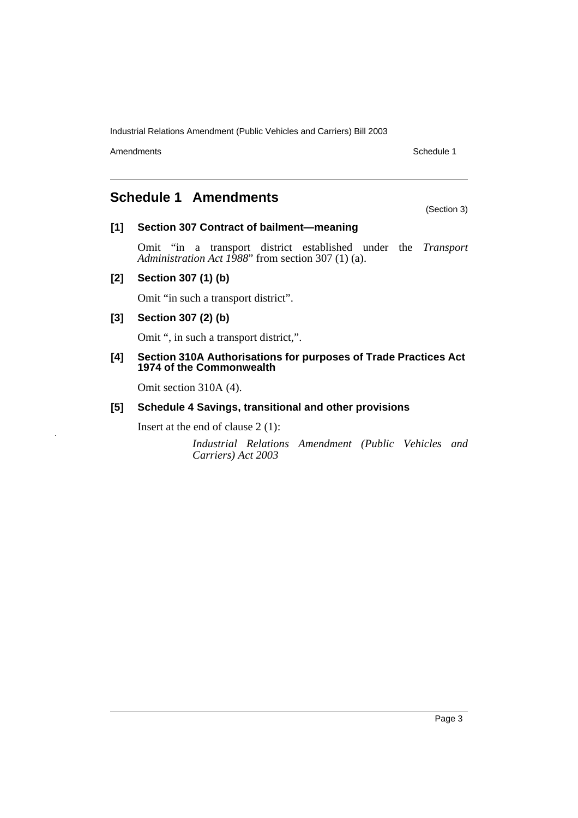Industrial Relations Amendment (Public Vehicles and Carriers) Bill 2003

Amendments Schedule 1

### **Schedule 1 Amendments**

#### **[1] Section 307 Contract of bailment—meaning**

Omit "in a transport district established under the *Transport Administration Act 1988*" from section 307 (1) (a).

#### **[2] Section 307 (1) (b)**

Omit "in such a transport district".

#### **[3] Section 307 (2) (b)**

Omit ", in such a transport district,".

#### **[4] Section 310A Authorisations for purposes of Trade Practices Act 1974 of the Commonwealth**

Omit section 310A (4).

#### **[5] Schedule 4 Savings, transitional and other provisions**

Insert at the end of clause 2 (1):

*Industrial Relations Amendment (Public Vehicles and Carriers) Act 2003*

(Section 3)